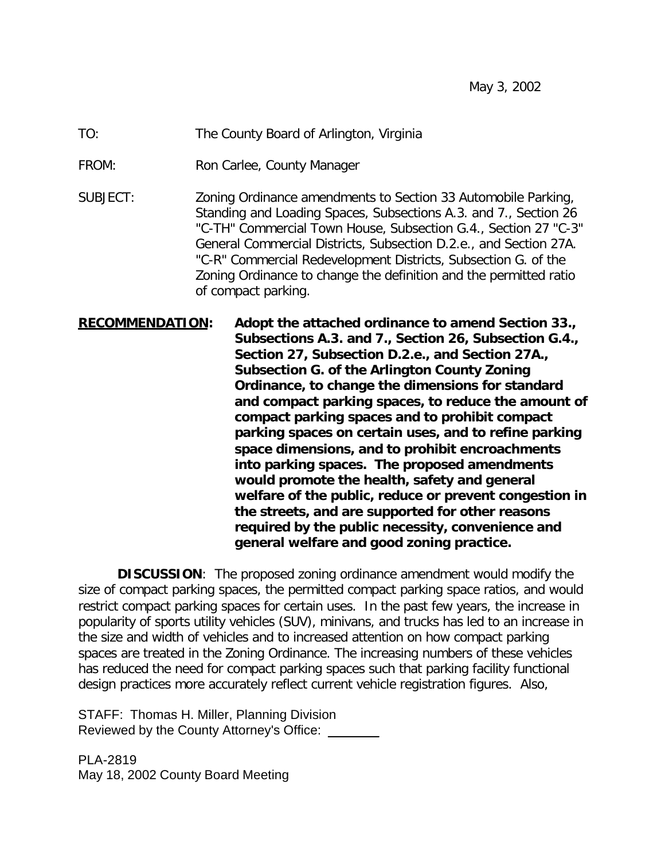May 3, 2002

#### TO: The County Board of Arlington, Virginia

FROM: Ron Carlee, County Manager

SUBJECT: Zoning Ordinance amendments to Section 33 Automobile Parking, Standing and Loading Spaces, Subsections A.3. and 7., Section 26 "C-TH" Commercial Town House, Subsection G.4., Section 27 "C-3" General Commercial Districts, Subsection D.2.e., and Section 27A. "C-R" Commercial Redevelopment Districts, Subsection G. of the Zoning Ordinance to change the definition and the permitted ratio of compact parking.

**RECOMMENDATION: Adopt the attached ordinance to amend Section 33., Subsections A.3. and 7., Section 26, Subsection G.4., Section 27, Subsection D.2.e., and Section 27A., Subsection G. of the Arlington County Zoning Ordinance, to change the dimensions for standard and compact parking spaces, to reduce the amount of compact parking spaces and to prohibit compact parking spaces on certain uses, and to refine parking space dimensions, and to prohibit encroachments into parking spaces. The proposed amendments would promote the health, safety and general welfare of the public, reduce or prevent congestion in the streets, and are supported for other reasons required by the public necessity, convenience and general welfare and good zoning practice.**

**DISCUSSION**: The proposed zoning ordinance amendment would modify the size of compact parking spaces, the permitted compact parking space ratios, and would restrict compact parking spaces for certain uses. In the past few years, the increase in popularity of sports utility vehicles (SUV), minivans, and trucks has led to an increase in the size and width of vehicles and to increased attention on how compact parking spaces are treated in the Zoning Ordinance. The increasing numbers of these vehicles has reduced the need for compact parking spaces such that parking facility functional design practices more accurately reflect current vehicle registration figures. Also,

STAFF: Thomas H. Miller, Planning Division Reviewed by the County Attorney's Office:

PLA-2819 May 18, 2002 County Board Meeting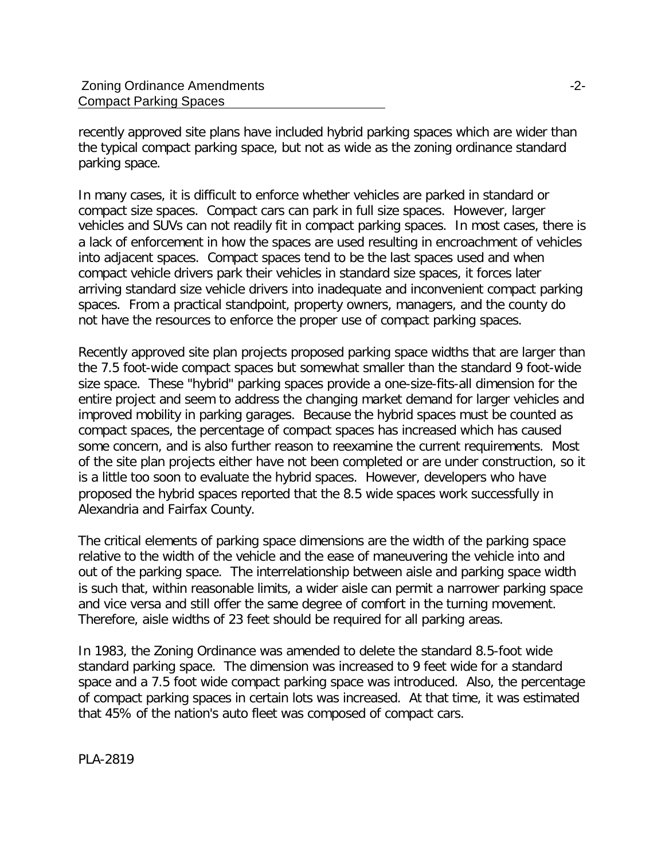recently approved site plans have included hybrid parking spaces which are wider than the typical compact parking space, but not as wide as the zoning ordinance standard parking space.

In many cases, it is difficult to enforce whether vehicles are parked in standard or compact size spaces. Compact cars can park in full size spaces. However, larger vehicles and SUVs can not readily fit in compact parking spaces. In most cases, there is a lack of enforcement in how the spaces are used resulting in encroachment of vehicles into adjacent spaces. Compact spaces tend to be the last spaces used and when compact vehicle drivers park their vehicles in standard size spaces, it forces later arriving standard size vehicle drivers into inadequate and inconvenient compact parking spaces. From a practical standpoint, property owners, managers, and the county do not have the resources to enforce the proper use of compact parking spaces.

Recently approved site plan projects proposed parking space widths that are larger than the 7.5 foot-wide compact spaces but somewhat smaller than the standard 9 foot-wide size space. These "hybrid" parking spaces provide a one-size-fits-all dimension for the entire project and seem to address the changing market demand for larger vehicles and improved mobility in parking garages. Because the hybrid spaces must be counted as compact spaces, the percentage of compact spaces has increased which has caused some concern, and is also further reason to reexamine the current requirements. Most of the site plan projects either have not been completed or are under construction, so it is a little too soon to evaluate the hybrid spaces. However, developers who have proposed the hybrid spaces reported that the 8.5 wide spaces work successfully in Alexandria and Fairfax County.

The critical elements of parking space dimensions are the width of the parking space relative to the width of the vehicle and the ease of maneuvering the vehicle into and out of the parking space. The interrelationship between aisle and parking space width is such that, within reasonable limits, a wider aisle can permit a narrower parking space and vice versa and still offer the same degree of comfort in the turning movement. Therefore, aisle widths of 23 feet should be required for all parking areas.

In 1983, the Zoning Ordinance was amended to delete the standard 8.5-foot wide standard parking space. The dimension was increased to 9 feet wide for a standard space and a 7.5 foot wide compact parking space was introduced. Also, the percentage of compact parking spaces in certain lots was increased. At that time, it was estimated that 45% of the nation's auto fleet was composed of compact cars.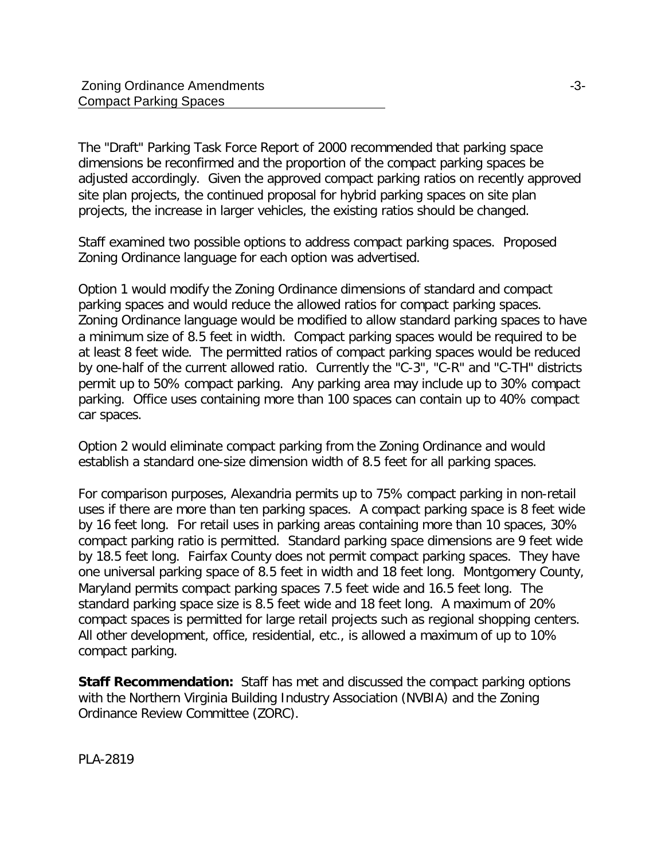The "Draft" Parking Task Force Report of 2000 recommended that parking space dimensions be reconfirmed and the proportion of the compact parking spaces be adjusted accordingly. Given the approved compact parking ratios on recently approved site plan projects, the continued proposal for hybrid parking spaces on site plan projects, the increase in larger vehicles, the existing ratios should be changed.

Staff examined two possible options to address compact parking spaces. Proposed Zoning Ordinance language for each option was advertised.

Option 1 would modify the Zoning Ordinance dimensions of standard and compact parking spaces and would reduce the allowed ratios for compact parking spaces. Zoning Ordinance language would be modified to allow standard parking spaces to have a minimum size of 8.5 feet in width. Compact parking spaces would be required to be at least 8 feet wide. The permitted ratios of compact parking spaces would be reduced by one-half of the current allowed ratio. Currently the "C-3", "C-R" and "C-TH" districts permit up to 50% compact parking. Any parking area may include up to 30% compact parking. Office uses containing more than 100 spaces can contain up to 40% compact car spaces.

Option 2 would eliminate compact parking from the Zoning Ordinance and would establish a standard one-size dimension width of 8.5 feet for all parking spaces.

For comparison purposes, Alexandria permits up to 75% compact parking in non-retail uses if there are more than ten parking spaces. A compact parking space is 8 feet wide by 16 feet long. For retail uses in parking areas containing more than 10 spaces, 30% compact parking ratio is permitted. Standard parking space dimensions are 9 feet wide by 18.5 feet long. Fairfax County does not permit compact parking spaces. They have one universal parking space of 8.5 feet in width and 18 feet long. Montgomery County, Maryland permits compact parking spaces 7.5 feet wide and 16.5 feet long. The standard parking space size is 8.5 feet wide and 18 feet long. A maximum of 20% compact spaces is permitted for large retail projects such as regional shopping centers. All other development, office, residential, etc., is allowed a maximum of up to 10% compact parking.

**Staff Recommendation:** Staff has met and discussed the compact parking options with the Northern Virginia Building Industry Association (NVBIA) and the Zoning Ordinance Review Committee (ZORC).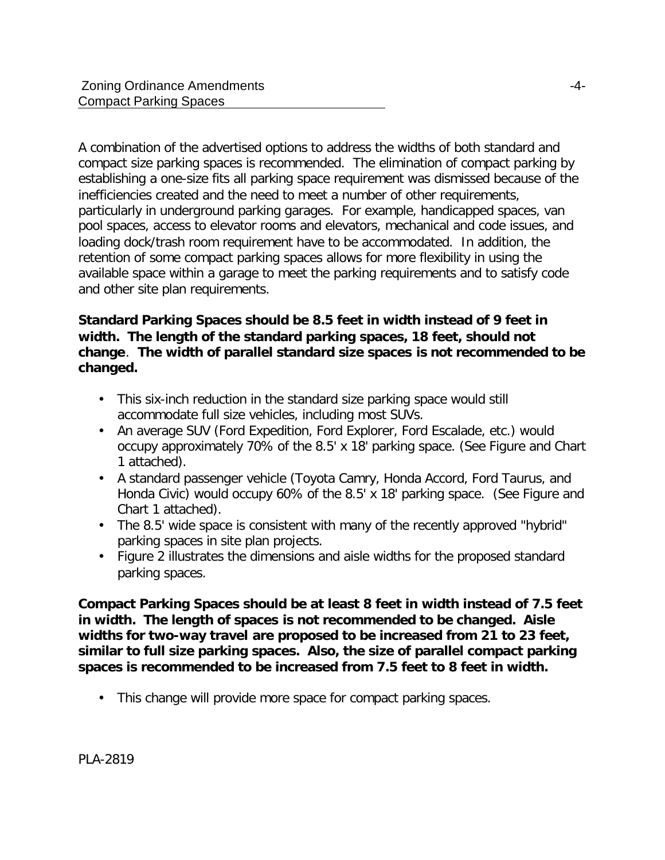A combination of the advertised options to address the widths of both standard and compact size parking spaces is recommended. The elimination of compact parking by establishing a one-size fits all parking space requirement was dismissed because of the inefficiencies created and the need to meet a number of other requirements, particularly in underground parking garages. For example, handicapped spaces, van pool spaces, access to elevator rooms and elevators, mechanical and code issues, and loading dock/trash room requirement have to be accommodated. In addition, the retention of some compact parking spaces allows for more flexibility in using the available space within a garage to meet the parking requirements and to satisfy code and other site plan requirements.

#### **Standard Parking Spaces should be 8.5 feet in width instead of 9 feet in width. The length of the standard parking spaces, 18 feet, should not change**. **The width of parallel standard size spaces is not recommended to be changed.**

- This six-inch reduction in the standard size parking space would still accommodate full size vehicles, including most SUVs.
- An average SUV (Ford Expedition, Ford Explorer, Ford Escalade, etc.) would occupy approximately 70% of the 8.5' x 18' parking space. (See Figure and Chart 1 attached).
- A standard passenger vehicle (Toyota Camry, Honda Accord, Ford Taurus, and Honda Civic) would occupy 60% of the 8.5' x 18' parking space. (See Figure and Chart 1 attached).
- The 8.5' wide space is consistent with many of the recently approved "hybrid" parking spaces in site plan projects.
- Figure 2 illustrates the dimensions and aisle widths for the proposed standard parking spaces.

**Compact Parking Spaces should be at least 8 feet in width instead of 7.5 feet in width. The length of spaces is not recommended to be changed. Aisle widths for two-way travel are proposed to be increased from 21 to 23 feet, similar to full size parking spaces. Also, the size of parallel compact parking spaces is recommended to be increased from 7.5 feet to 8 feet in width.**

• This change will provide more space for compact parking spaces.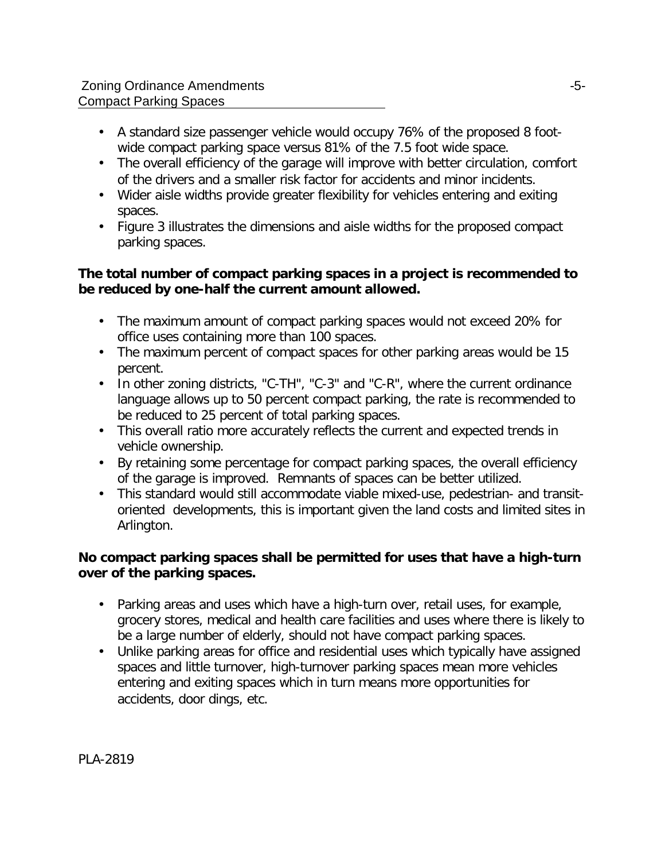- A standard size passenger vehicle would occupy 76% of the proposed 8 footwide compact parking space versus 81% of the 7.5 foot wide space.
- The overall efficiency of the garage will improve with better circulation, comfort of the drivers and a smaller risk factor for accidents and minor incidents.
- Wider aisle widths provide greater flexibility for vehicles entering and exiting spaces.
- Figure 3 illustrates the dimensions and aisle widths for the proposed compact parking spaces.

### **The total number of compact parking spaces in a project is recommended to be reduced by one-half the current amount allowed.**

- The maximum amount of compact parking spaces would not exceed 20% for office uses containing more than 100 spaces.
- The maximum percent of compact spaces for other parking areas would be 15 percent.
- In other zoning districts, "C-TH", "C-3" and "C-R", where the current ordinance language allows up to 50 percent compact parking, the rate is recommended to be reduced to 25 percent of total parking spaces.
- This overall ratio more accurately reflects the current and expected trends in vehicle ownership.
- By retaining some percentage for compact parking spaces, the overall efficiency of the garage is improved. Remnants of spaces can be better utilized.
- This standard would still accommodate viable mixed-use, pedestrian- and transitoriented developments, this is important given the land costs and limited sites in Arlington.

## **No compact parking spaces shall be permitted for uses that have a high-turn over of the parking spaces.**

- Parking areas and uses which have a high-turn over, retail uses, for example, grocery stores, medical and health care facilities and uses where there is likely to be a large number of elderly, should not have compact parking spaces.
- Unlike parking areas for office and residential uses which typically have assigned spaces and little turnover, high-turnover parking spaces mean more vehicles entering and exiting spaces which in turn means more opportunities for accidents, door dings, etc.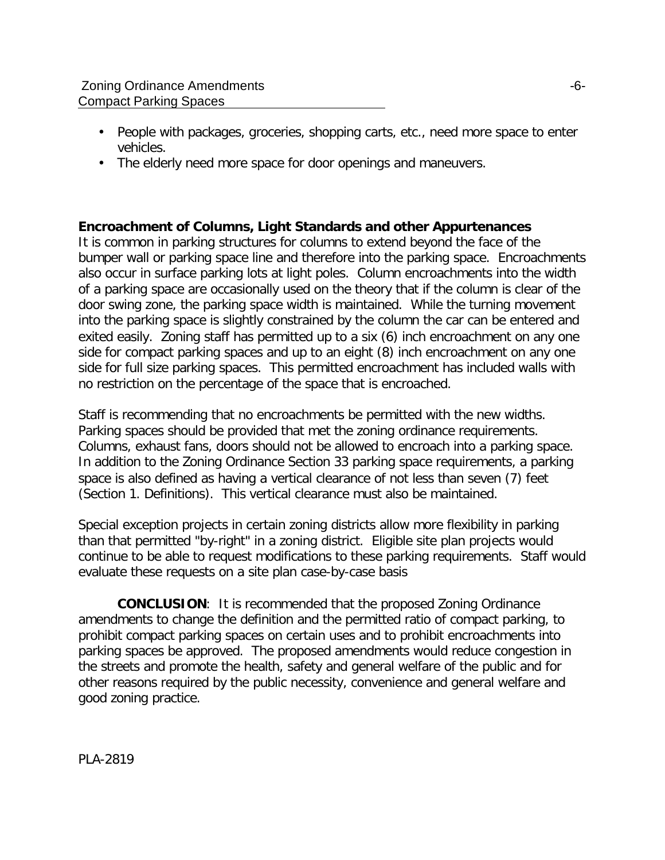- People with packages, groceries, shopping carts, etc., need more space to enter vehicles.
- The elderly need more space for door openings and maneuvers.

## **Encroachment of Columns, Light Standards and other Appurtenances**

It is common in parking structures for columns to extend beyond the face of the bumper wall or parking space line and therefore into the parking space. Encroachments also occur in surface parking lots at light poles. Column encroachments into the width of a parking space are occasionally used on the theory that if the column is clear of the door swing zone, the parking space width is maintained. While the turning movement into the parking space is slightly constrained by the column the car can be entered and exited easily. Zoning staff has permitted up to a six (6) inch encroachment on any one side for compact parking spaces and up to an eight (8) inch encroachment on any one side for full size parking spaces. This permitted encroachment has included walls with no restriction on the percentage of the space that is encroached.

Staff is recommending that no encroachments be permitted with the new widths. Parking spaces should be provided that met the zoning ordinance requirements. Columns, exhaust fans, doors should not be allowed to encroach into a parking space. In addition to the Zoning Ordinance Section 33 parking space requirements, a parking space is also defined as having a vertical clearance of not less than seven (7) feet (Section 1. Definitions). This vertical clearance must also be maintained.

Special exception projects in certain zoning districts allow more flexibility in parking than that permitted "by-right" in a zoning district. Eligible site plan projects would continue to be able to request modifications to these parking requirements. Staff would evaluate these requests on a site plan case-by-case basis

**CONCLUSION**: It is recommended that the proposed Zoning Ordinance amendments to change the definition and the permitted ratio of compact parking, to prohibit compact parking spaces on certain uses and to prohibit encroachments into parking spaces be approved. The proposed amendments would reduce congestion in the streets and promote the health, safety and general welfare of the public and for other reasons required by the public necessity, convenience and general welfare and good zoning practice.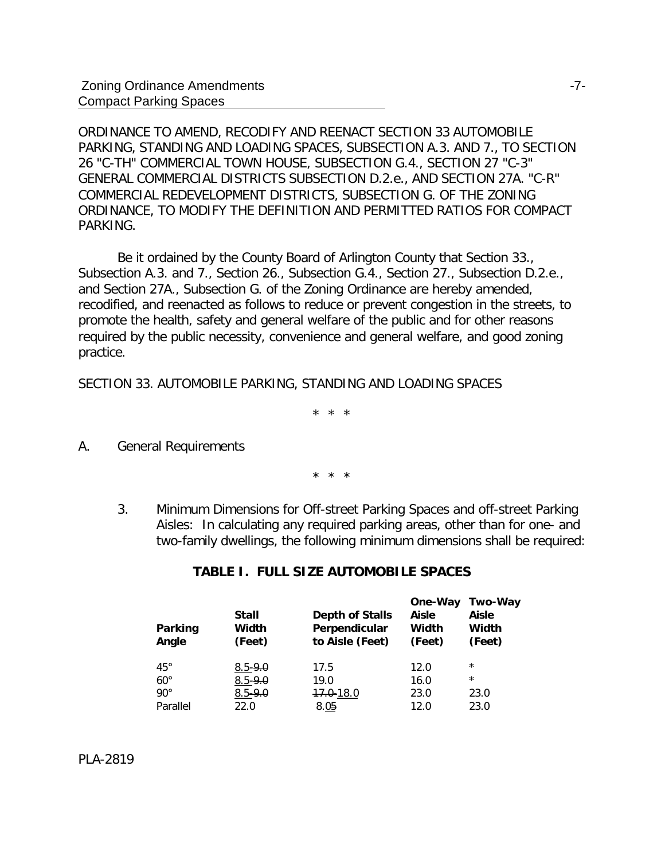ORDINANCE TO AMEND, RECODIFY AND REENACT SECTION 33 AUTOMOBILE PARKING, STANDING AND LOADING SPACES, SUBSECTION A.3. AND 7., TO SECTION 26 "C-TH" COMMERCIAL TOWN HOUSE, SUBSECTION G.4., SECTION 27 "C-3" GENERAL COMMERCIAL DISTRICTS SUBSECTION D.2.e., AND SECTION 27A. "C-R" COMMERCIAL REDEVELOPMENT DISTRICTS, SUBSECTION G. OF THE ZONING ORDINANCE, TO MODIFY THE DEFINITION AND PERMITTED RATIOS FOR COMPACT PARKING.

Be it ordained by the County Board of Arlington County that Section 33., Subsection A.3. and 7., Section 26., Subsection G.4., Section 27., Subsection D.2.e., and Section 27A., Subsection G. of the Zoning Ordinance are hereby amended, recodified, and reenacted as follows to reduce or prevent congestion in the streets, to promote the health, safety and general welfare of the public and for other reasons required by the public necessity, convenience and general welfare, and good zoning practice.

SECTION 33. AUTOMOBILE PARKING, STANDING AND LOADING SPACES

\* \* \*

A. General Requirements

\* \* \*

3. *Minimum Dimensions for Off-street Parking Spaces and off-street Parking Aisles:* In calculating any required parking areas, other than for one- and two-family dwellings, the following minimum dimensions shall be required:

#### **TABLE I. FULL SIZE AUTOMOBILE SPACES**

| Parking<br>Angle | Stall<br>Width<br>(Feet) | Depth of Stalls<br>Perpendicular<br>to Aisle (Feet) | One-Way<br>Aisle<br>Width<br>(Feet) | Two-Way<br>Aisle<br>Width<br>(Feet) |
|------------------|--------------------------|-----------------------------------------------------|-------------------------------------|-------------------------------------|
| $45^{\circ}$     | $8.5 - 9.0$              | 17.5                                                | 12.0                                | $\star$                             |
| $60^{\circ}$     | $8.5 - 9.0$              | 19.0                                                | 16.0                                | $\star$                             |
| $90^{\circ}$     | $8.5 - 9.0$              | $17.0 - 18.0$                                       | 23.0                                | 23.0                                |
| Parallel         | 22.0                     | 8.05                                                | 12.0                                | 23.0                                |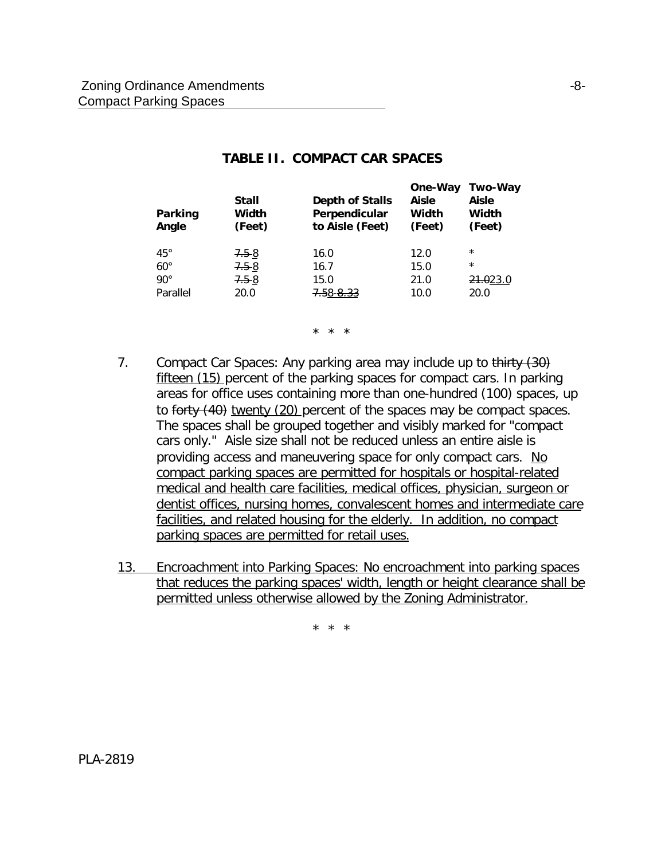| Parking<br>Angle | <b>Stall</b><br>Width<br>(Feet) | Depth of Stalls<br>Perpendicular<br>to Aisle (Feet) | One-Way<br>Aisle<br>Width<br>(Feet) | Two-Way<br><b>Aisle</b><br>Width<br>(Feet) |
|------------------|---------------------------------|-----------------------------------------------------|-------------------------------------|--------------------------------------------|
| $45^{\circ}$     | $7.5 - 8$                       | 16.0                                                | 12.0                                | $\star$                                    |
| $60^{\circ}$     | $7.5 - 8$                       | 16.7                                                | 15.0                                | $\star$                                    |
| $90^\circ$       | $7.5 - 8$                       | 15.0                                                | 21.0                                | 21.023.0                                   |
| Parallel         | 20.0                            | 7.58-8.33                                           | 10.0                                | 20.0                                       |

#### **TABLE II. COMPACT CAR SPACES**

\* \* \*

- 7. *Compact Car Spaces:* Any parking area may include up to thirty (30) fifteen (15) percent of the parking spaces for compact cars. In parking areas for office uses containing more than one-hundred (100) spaces, up to forty (40) twenty (20) percent of the spaces may be compact spaces. The spaces shall be grouped together and visibly marked for "compact cars only." Aisle size shall not be reduced unless an entire aisle is providing access and maneuvering space for only compact cars. No compact parking spaces are permitted for hospitals or hospital-related medical and health care facilities, medical offices, physician, surgeon or dentist offices, nursing homes, convalescent homes and intermediate care facilities, and related housing for the elderly. In addition, no compact parking spaces are permitted for retail uses.
- 13. *Encroachment into Parking Spaces:* No encroachment into parking spaces that reduces the parking spaces' width, length or height clearance shall be permitted unless otherwise allowed by the Zoning Administrator.

\* \* \*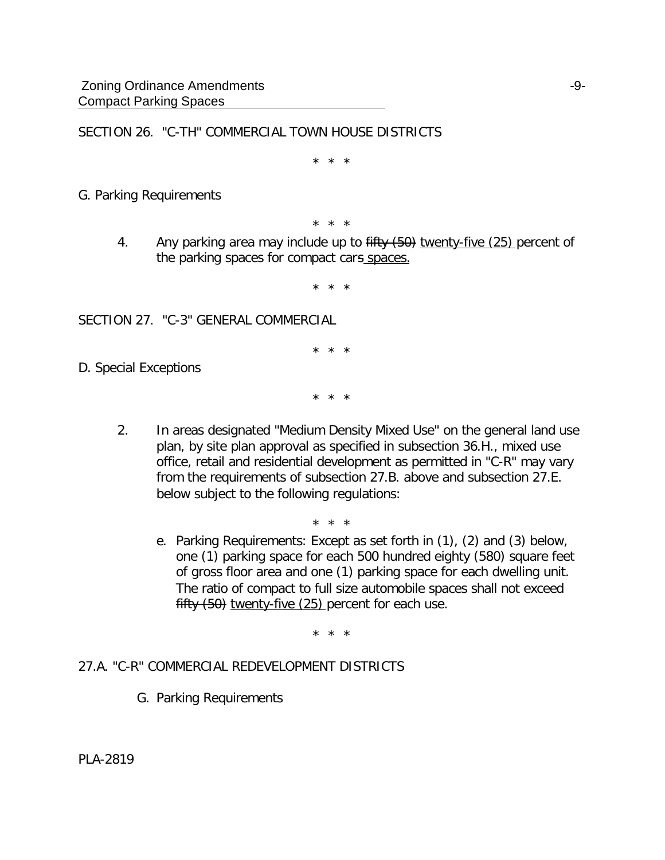SECTION 26. "C-TH" COMMERCIAL TOWN HOUSE DISTRICTS

\* \* \*

\* \* \*

G. Parking Requirements

4. Any parking area may include up to fifty (50) twenty-five (25) percent of the parking spaces for compact cars spaces.

\* \* \*

SECTION 27. "C-3" GENERAL COMMERCIAL

D. Special Exceptions

\* \* \*

\* \* \*

2. In areas designated "Medium Density Mixed Use" on the general land use plan, by site plan approval as specified in subsection 36.H., mixed use office, retail and residential development as permitted in "C-R" may vary from the requirements of subsection 27.B. above and subsection 27.E. below subject to the following regulations:

\* \* \*

e. *Parking Requirements*: Except as set forth in (1), (2) and (3) below, one (1) parking space for each 500 hundred eighty (580) square feet of gross floor area and one (1) parking space for each dwelling unit. The ratio of compact to full size automobile spaces shall not exceed fifty (50) twenty-five (25) percent for each use.

\* \* \*

#### 27.A. "C-R" COMMERCIAL REDEVELOPMENT DISTRICTS

G. Parking Requirements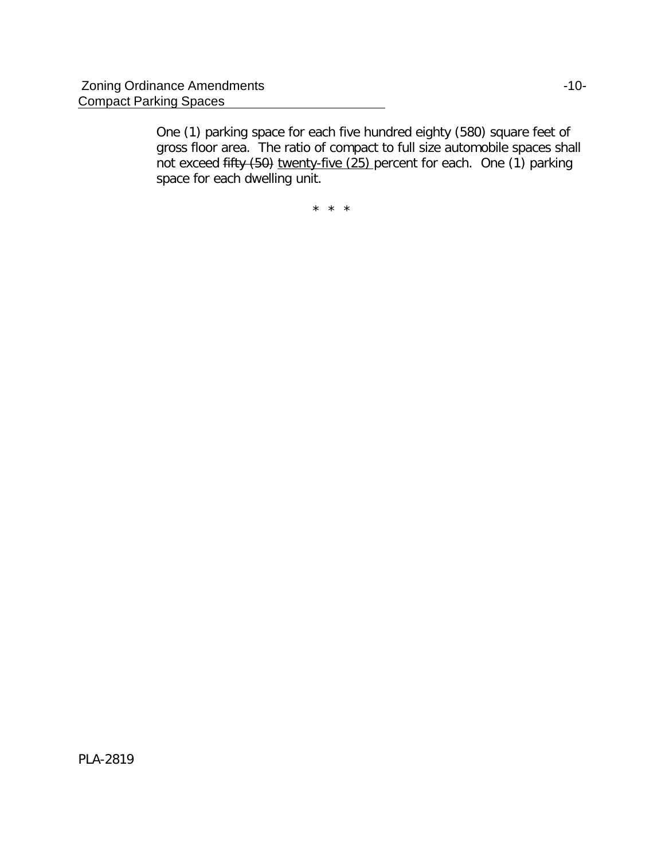One (1) parking space for each five hundred eighty (580) square feet of gross floor area. The ratio of compact to full size automobile spaces shall not exceed fifty  $(50)$  twenty-five  $(25)$  percent for each. One  $(1)$  parking space for each dwelling unit.

\* \* \*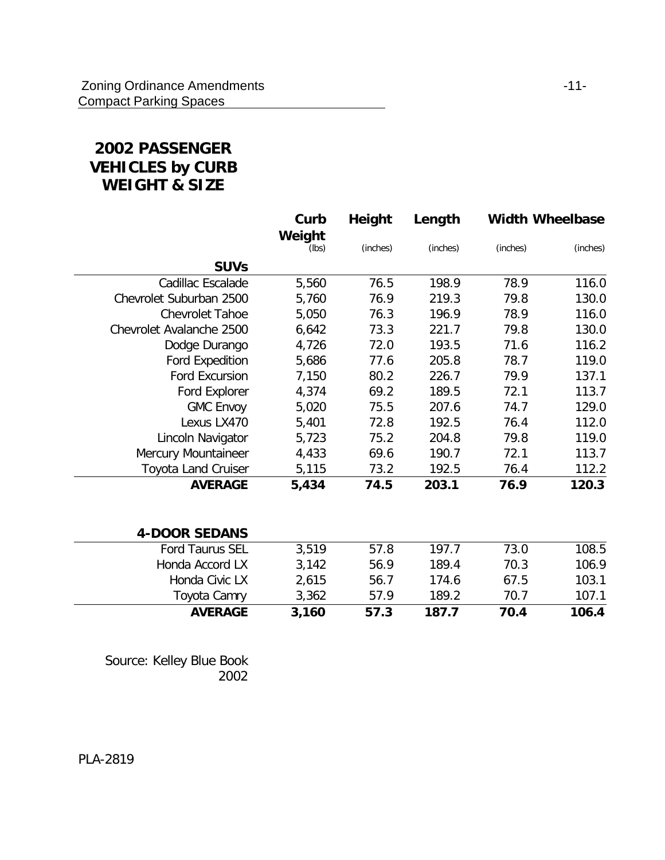## **2002 PASSENGER VEHICLES by CURB WEIGHT & SIZE**

|                          | Curb<br>Weight<br>(lbs) | Height<br>(inches) | Length<br>(inches) | <b>Width Wheelbase</b><br>(inches) | (inches) |
|--------------------------|-------------------------|--------------------|--------------------|------------------------------------|----------|
| <b>SUVs</b>              |                         |                    |                    |                                    |          |
| Cadillac Escalade        | 5,560                   | 76.5               | 198.9              | 78.9                               | 116.0    |
| Chevrolet Suburban 2500  | 5,760                   | 76.9               | 219.3              | 79.8                               | 130.0    |
| <b>Chevrolet Tahoe</b>   | 5,050                   | 76.3               | 196.9              | 78.9                               | 116.0    |
| Chevrolet Avalanche 2500 | 6,642                   | 73.3               | 221.7              | 79.8                               | 130.0    |
| Dodge Durango            | 4,726                   | 72.0               | 193.5              | 71.6                               | 116.2    |
| Ford Expedition          | 5,686                   | 77.6               | 205.8              | 78.7                               | 119.0    |
| Ford Excursion           | 7,150                   | 80.2               | 226.7              | 79.9                               | 137.1    |
| Ford Explorer            | 4,374                   | 69.2               | 189.5              | 72.1                               | 113.7    |
| <b>GMC Envoy</b>         | 5,020                   | 75.5               | 207.6              | 74.7                               | 129.0    |
| Lexus LX470              | 5,401                   | 72.8               | 192.5              | 76.4                               | 112.0    |
| Lincoln Navigator        | 5,723                   | 75.2               | 204.8              | 79.8                               | 119.0    |
| Mercury Mountaineer      | 4,433                   | 69.6               | 190.7              | 72.1                               | 113.7    |
| Toyota Land Cruiser      | 5,115                   | 73.2               | 192.5              | 76.4                               | 112.2    |
| <b>AVERAGE</b>           | 5,434                   | 74.5               | 203.1              | 76.9                               | 120.3    |
| <b>4-DOOR SEDANS</b>     |                         |                    |                    |                                    |          |
| <b>Ford Taurus SEL</b>   | 3,519                   | 57.8               | 197.7              | 73.0                               | 108.5    |
| Honda Accord LX          | 3,142                   | 56.9               | 189.4              | 70.3                               | 106.9    |
| Honda Civic LX           | 2,615                   | 56.7               | 174.6              | 67.5                               | 103.1    |
| Toyota Camry             | 3,362                   | 57.9               | 189.2              | 70.7                               | 107.1    |
| <b>AVERAGE</b>           | 3,160                   | 57.3               | 187.7              | 70.4                               | 106.4    |

Source: Kelley Blue Book 2002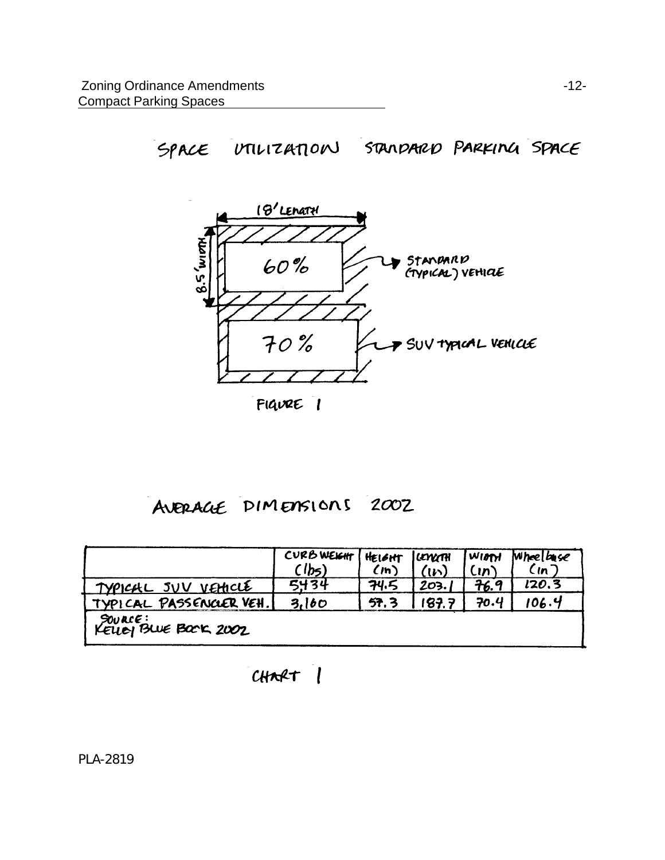SPACE UTILIZATION STANDARD PARKING SPACE



FIGURE 1

# AVERAGE DIMENSIONS 2002

|                                  | CURB WEIGHT | HELGHT | unani | WIMM | Wheelbase  |
|----------------------------------|-------------|--------|-------|------|------------|
|                                  | (lbs)       | (m)    | (เเรา | (n)  | $\zeta$ in |
| TYPICAL SUV VEHICLE              | 5434        | 74.5   | 203.  | 76.9 | 120.3      |
| TYPICAL PASSENGER VEH.           | 3,160       | 57.3   | 187.7 | 70.4 | 106.4      |
| SOURCE:<br>KELLEY BLUE BOOK 2002 |             |        |       |      |            |

CHART 1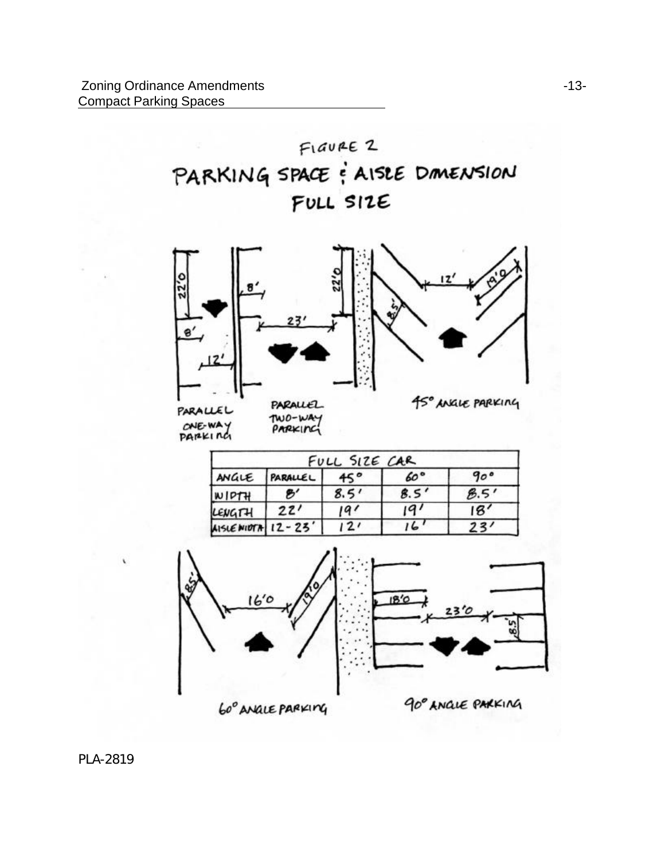

 $\overline{1}$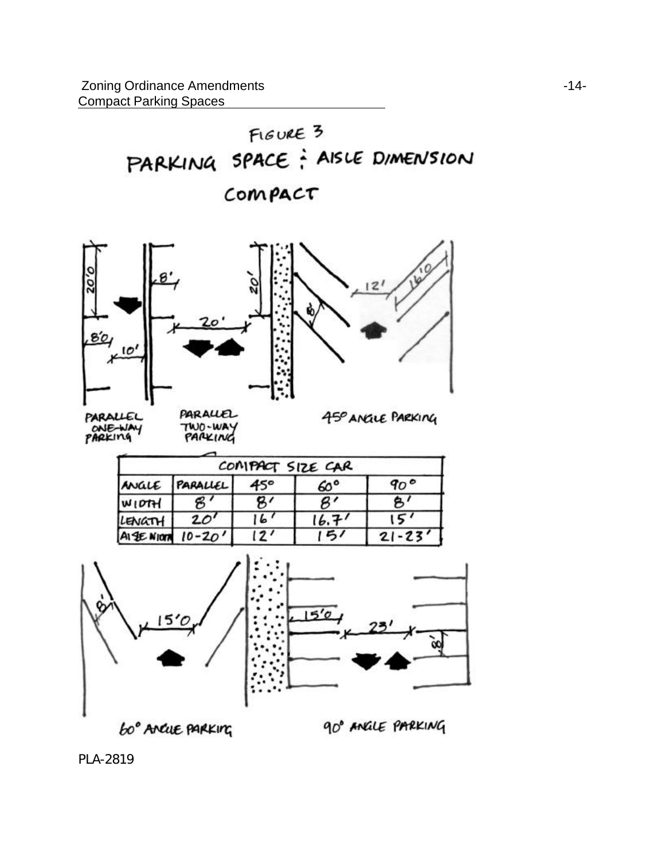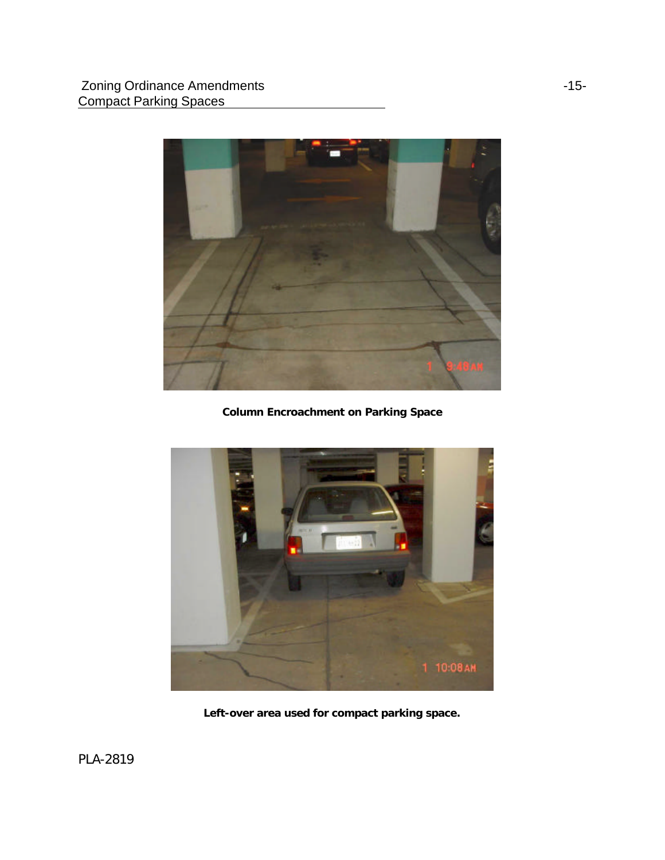

**Column Encroachment on Parking Space**



**Left-over area used for compact parking space.**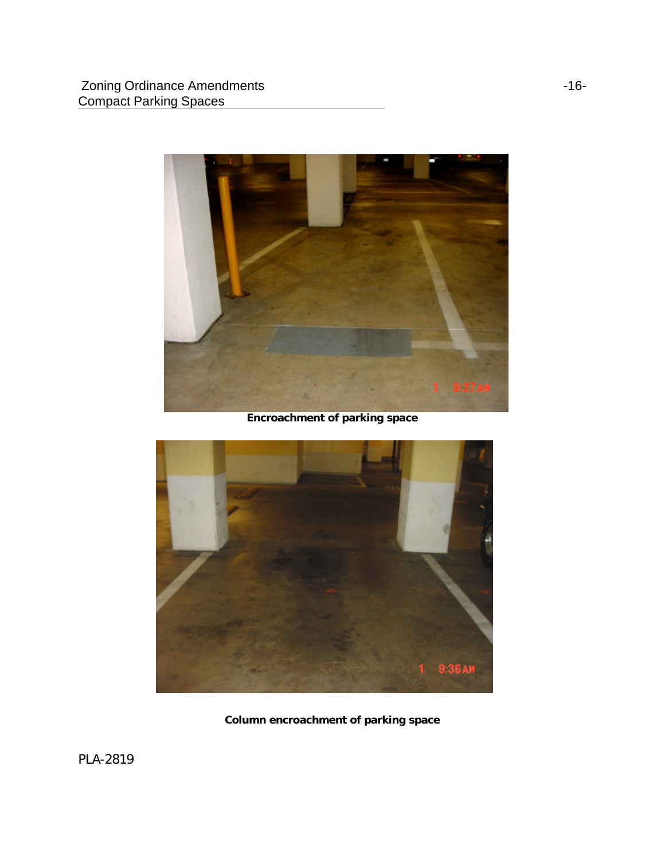

**Encroachment of parking space**



**Column encroachment of parking space**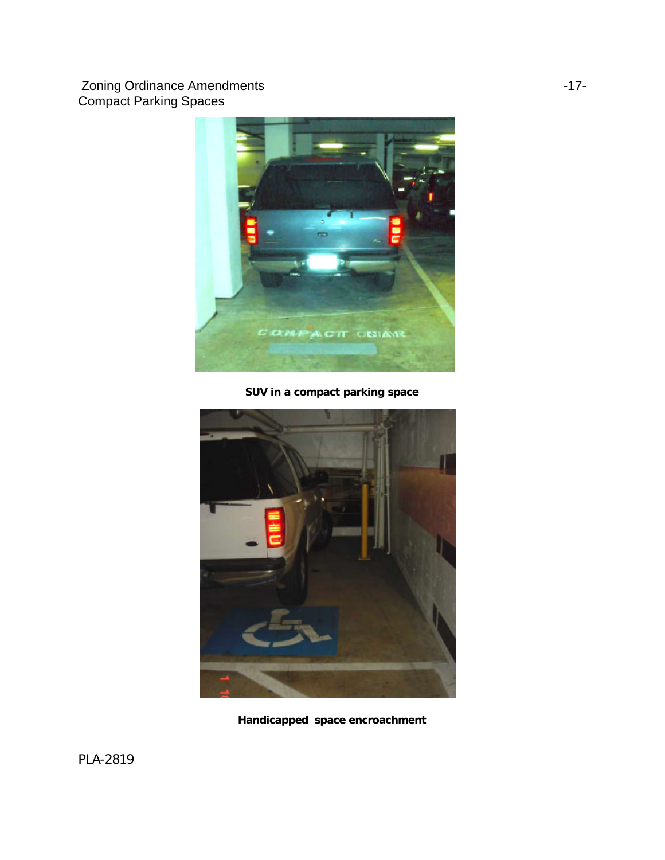#### Zoning Ordinance Amendments Compact Parking Spaces



**SUV in a compact parking space**



**Handicapped space encroachment**